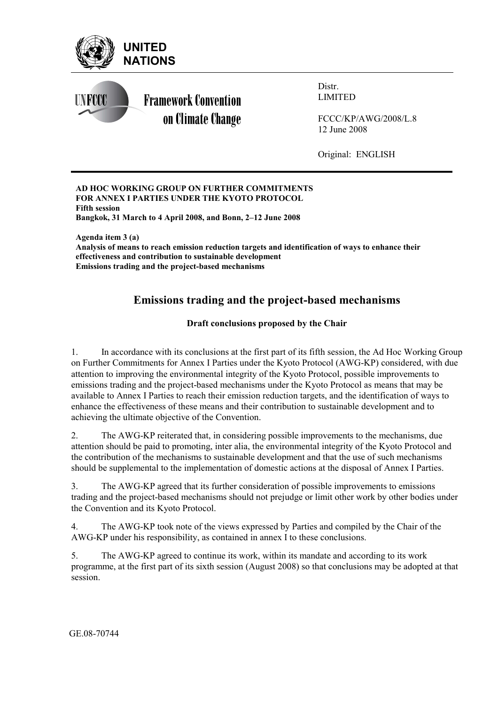

**AD HOC WORKING GROUP ON FURTHER COMMITMENTS FOR ANNEX I PARTIES UNDER THE KYOTO PROTOCOL Fifth session**  Bangkok, 31 March to 4 April 2008, and Bonn, 2-12 June 2008

**Agenda item 3 (a) Analysis of means to reach emission reduction targets and identification of ways to enhance their effectiveness and contribution to sustainable development Emissions trading and the project-based mechanisms**

# **Emissions trading and the project-based mechanisms**

## **Draft conclusions proposed by the Chair**

1. In accordance with its conclusions at the first part of its fifth session, the Ad Hoc Working Group on Further Commitments for Annex I Parties under the Kyoto Protocol (AWG-KP) considered, with due attention to improving the environmental integrity of the Kyoto Protocol, possible improvements to emissions trading and the project-based mechanisms under the Kyoto Protocol as means that may be available to Annex I Parties to reach their emission reduction targets, and the identification of ways to enhance the effectiveness of these means and their contribution to sustainable development and to achieving the ultimate objective of the Convention.

2. The AWG-KP reiterated that, in considering possible improvements to the mechanisms, due attention should be paid to promoting, inter alia, the environmental integrity of the Kyoto Protocol and the contribution of the mechanisms to sustainable development and that the use of such mechanisms should be supplemental to the implementation of domestic actions at the disposal of Annex I Parties.

3. The AWG-KP agreed that its further consideration of possible improvements to emissions trading and the project-based mechanisms should not prejudge or limit other work by other bodies under the Convention and its Kyoto Protocol.

4. The AWG-KP took note of the views expressed by Parties and compiled by the Chair of the AWG-KP under his responsibility, as contained in annex I to these conclusions.

5. The AWG-KP agreed to continue its work, within its mandate and according to its work programme, at the first part of its sixth session (August 2008) so that conclusions may be adopted at that session.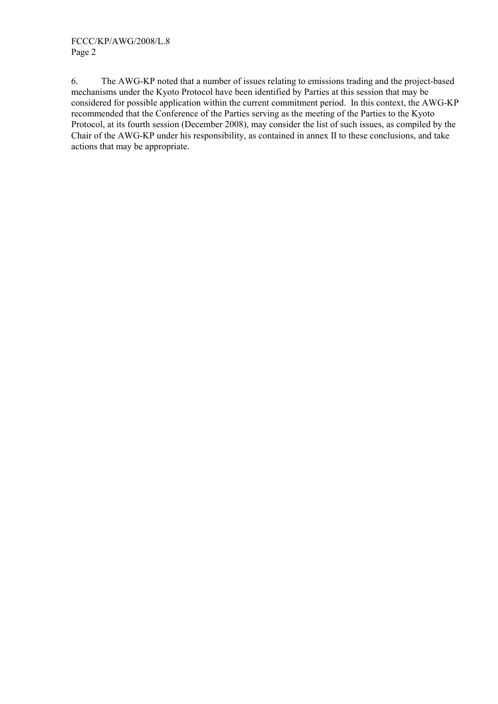6. The AWG-KP noted that a number of issues relating to emissions trading and the project-based mechanisms under the Kyoto Protocol have been identified by Parties at this session that may be considered for possible application within the current commitment period. In this context, the AWG-KP recommended that the Conference of the Parties serving as the meeting of the Parties to the Kyoto Protocol, at its fourth session (December 2008), may consider the list of such issues, as compiled by the Chair of the AWG-KP under his responsibility, as contained in annex II to these conclusions, and take actions that may be appropriate.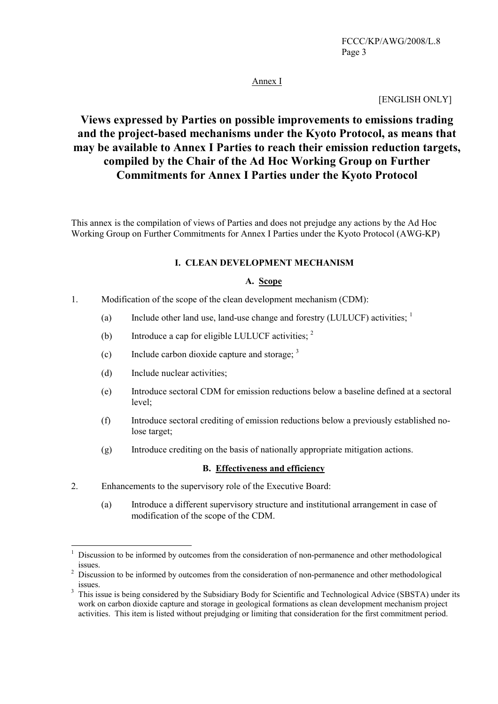## Annex I

#### [ENGLISH ONLY]

# **Views expressed by Parties on possible improvements to emissions trading and the project-based mechanisms under the Kyoto Protocol, as means that may be available to Annex I Parties to reach their emission reduction targets, compiled by the Chair of the Ad Hoc Working Group on Further Commitments for Annex I Parties under the Kyoto Protocol**

This annex is the compilation of views of Parties and does not prejudge any actions by the Ad Hoc Working Group on Further Commitments for Annex I Parties under the Kyoto Protocol (AWG-KP)

#### **I. CLEAN DEVELOPMENT MECHANISM**

#### **A. Scope**

- 1. Modification of the scope of the clean development mechanism (CDM):
	- (a) Include other land use, land-use change and forestry (LULUCF) activities;  $\frac{1}{1}$
	- (b) Introduce a cap for eligible LULUCF activities;  $2\frac{1}{2}$
	- (c) Include carbon dioxide capture and storage:  $3$
	- (d) Include nuclear activities;

- (e) Introduce sectoral CDM for emission reductions below a baseline defined at a sectoral level;
- (f) Introduce sectoral crediting of emission reductions below a previously established nolose target;
- (g) Introduce crediting on the basis of nationally appropriate mitigation actions.

#### **B. Effectiveness and efficiency**

- 2. Enhancements to the supervisory role of the Executive Board:
	- (a) Introduce a different supervisory structure and institutional arrangement in case of modification of the scope of the CDM.

<sup>1</sup> Discussion to be informed by outcomes from the consideration of non-permanence and other methodological issues.<br> $\frac{2}{\text{Niscus}}$ 

Discussion to be informed by outcomes from the consideration of non-permanence and other methodological issues.

This issue is being considered by the Subsidiary Body for Scientific and Technological Advice (SBSTA) under its work on carbon dioxide capture and storage in geological formations as clean development mechanism project activities. This item is listed without prejudging or limiting that consideration for the first commitment period.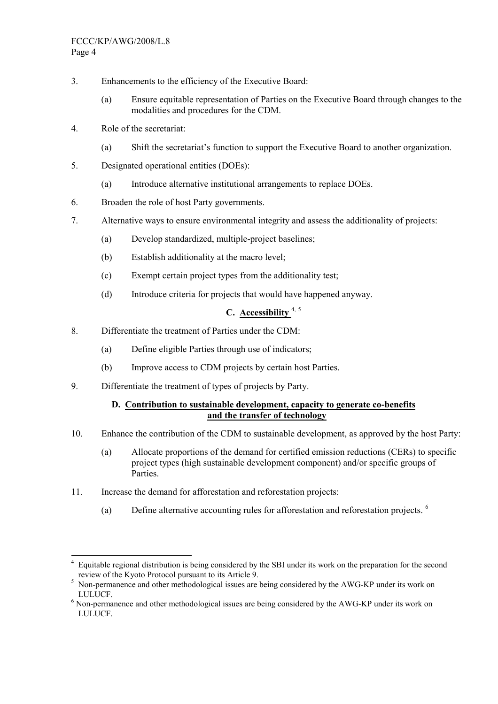- 3. Enhancements to the efficiency of the Executive Board:
	- (a) Ensure equitable representation of Parties on the Executive Board through changes to the modalities and procedures for the CDM.
- 4. Role of the secretariat:
	- (a) Shift the secretariatís function to support the Executive Board to another organization.
- 5. Designated operational entities (DOEs):
	- (a) Introduce alternative institutional arrangements to replace DOEs.
- 6. Broaden the role of host Party governments.
- 7. Alternative ways to ensure environmental integrity and assess the additionality of projects:
	- (a) Develop standardized, multiple-project baselines;
	- (b) Establish additionality at the macro level;
	- (c) Exempt certain project types from the additionality test;
	- (d) Introduce criteria for projects that would have happened anyway.

# **C. Accessibility** 4, <sup>5</sup>

- 8. Differentiate the treatment of Parties under the CDM:
	- (a) Define eligible Parties through use of indicators;
	- (b) Improve access to CDM projects by certain host Parties.
- 9. Differentiate the treatment of types of projects by Party.

## **D. Contribution to sustainable development, capacity to generate co-benefits and the transfer of technology**

- 10. Enhance the contribution of the CDM to sustainable development, as approved by the host Party:
	- (a) Allocate proportions of the demand for certified emission reductions (CERs) to specific project types (high sustainable development component) and/or specific groups of **Parties**
- 11. Increase the demand for afforestation and reforestation projects:
	- (a) Define alternative accounting rules for afforestation and reforestation projects. <sup>6</sup>

 $\overline{a}$ 4 Equitable regional distribution is being considered by the SBI under its work on the preparation for the second review of the Kyoto Protocol pursuant to its Article 9.<br><sup>5</sup> Non permanence and other methodological issues are

Non-permanence and other methodological issues are being considered by the AWG-KP under its work on

LULUCF. 6 Non-permanence and other methodological issues are being considered by the AWG-KP under its work on LULUCF.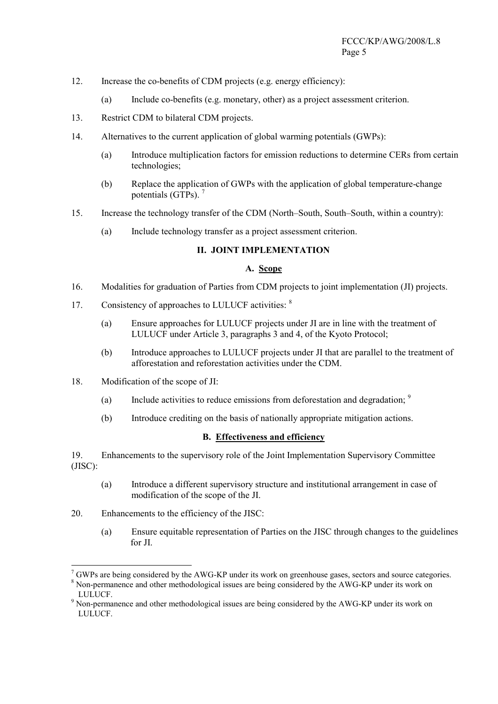- 12. Increase the co-benefits of CDM projects (e.g. energy efficiency):
	- (a) Include co-benefits (e.g. monetary, other) as a project assessment criterion.
- 13. Restrict CDM to bilateral CDM projects.
- 14. Alternatives to the current application of global warming potentials (GWPs):
	- (a) Introduce multiplication factors for emission reductions to determine CERs from certain technologies;
	- (b) Replace the application of GWPs with the application of global temperature-change potentials (GTPs). <sup>7</sup>
- 15. Increase the technology transfer of the CDM (North–South, South–South, within a country):
	- (a) Include technology transfer as a project assessment criterion.

#### **II. JOINT IMPLEMENTATION**

#### **A. Scope**

- 16. Modalities for graduation of Parties from CDM projects to joint implementation (JI) projects.
- 17. Consistency of approaches to LULUCF activities: <sup>8</sup>
	- (a) Ensure approaches for LULUCF projects under JI are in line with the treatment of LULUCF under Article 3, paragraphs 3 and 4, of the Kyoto Protocol;
	- (b) Introduce approaches to LULUCF projects under JI that are parallel to the treatment of afforestation and reforestation activities under the CDM.
- 18. Modification of the scope of JI:
	- (a) Include activities to reduce emissions from deforestation and degradation;  $\frac{9}{2}$
	- (b) Introduce crediting on the basis of nationally appropriate mitigation actions.

#### **B. Effectiveness and efficiency**

19. Enhancements to the supervisory role of the Joint Implementation Supervisory Committee (JISC):

- (a) Introduce a different supervisory structure and institutional arrangement in case of modification of the scope of the JI.
- 20. Enhancements to the efficiency of the JISC:

(a) Ensure equitable representation of Parties on the JISC through changes to the guidelines for JI.

 $7$  GWPs are being considered by the AWG-KP under its work on greenhouse gases, sectors and source categories.

<sup>&</sup>lt;sup>8</sup> Non-permanence and other methodological issues are being considered by the AWG-KP under its work on LULUCF.<br><sup>9</sup> Non-permanence and other methodological issues are being considered by the AWG-KP under its work on

LULUCF.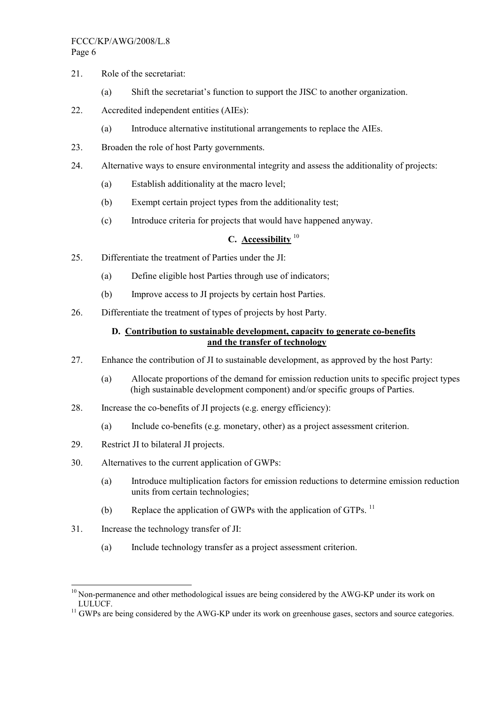#### FCCC/KP/AWG/2008/L.8 Page 6

- 21. Role of the secretariat:
	- (a) Shift the secretariat's function to support the JISC to another organization.
- 22. Accredited independent entities (AIEs):
	- (a) Introduce alternative institutional arrangements to replace the AIEs.
- 23. Broaden the role of host Party governments.
- 24. Alternative ways to ensure environmental integrity and assess the additionality of projects:
	- (a) Establish additionality at the macro level;
	- (b) Exempt certain project types from the additionality test;
	- (c) Introduce criteria for projects that would have happened anyway.

## **C. Accessibility** <sup>10</sup>

- 25. Differentiate the treatment of Parties under the JI:
	- (a) Define eligible host Parties through use of indicators;
	- (b) Improve access to JI projects by certain host Parties.
- 26. Differentiate the treatment of types of projects by host Party.

## **D. Contribution to sustainable development, capacity to generate co-benefits and the transfer of technology**

- 27. Enhance the contribution of JI to sustainable development, as approved by the host Party:
	- (a) Allocate proportions of the demand for emission reduction units to specific project types (high sustainable development component) and/or specific groups of Parties.
- 28. Increase the co-benefits of JI projects (e.g. energy efficiency):
	- (a) Include co-benefits (e.g. monetary, other) as a project assessment criterion.
- 29. Restrict JI to bilateral JI projects.
- 30. Alternatives to the current application of GWPs:
	- (a) Introduce multiplication factors for emission reductions to determine emission reduction units from certain technologies;
	- (b) Replace the application of GWPs with the application of GTPs.  $^{11}$
- 31. Increase the technology transfer of JI:

 $\overline{a}$ 

(a) Include technology transfer as a project assessment criterion.

 $10$  Non-permanence and other methodological issues are being considered by the AWG-KP under its work on LULUCF.<br><sup>11</sup> GWPs are being considered by the AWG-KP under its work on greenhouse gases, sectors and source categories.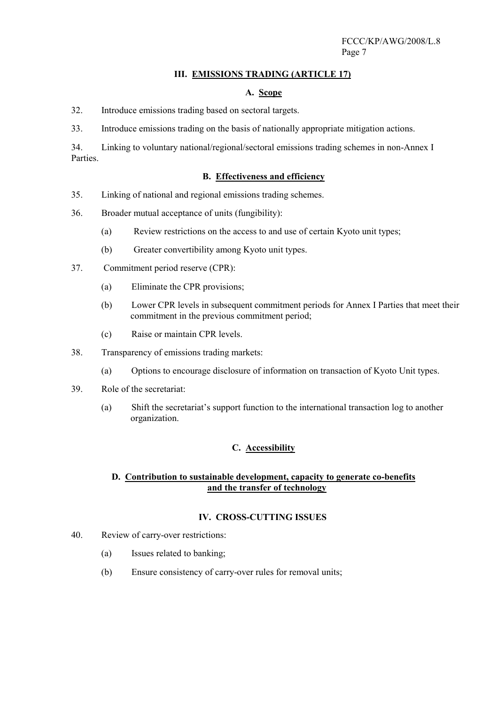#### **III. EMISSIONS TRADING (ARTICLE 17)**

#### **A. Scope**

32. Introduce emissions trading based on sectoral targets.

33. Introduce emissions trading on the basis of nationally appropriate mitigation actions.

34. Linking to voluntary national/regional/sectoral emissions trading schemes in non-Annex I Parties.

#### **B. Effectiveness and efficiency**

- 35. Linking of national and regional emissions trading schemes.
- 36. Broader mutual acceptance of units (fungibility):
	- (a) Review restrictions on the access to and use of certain Kyoto unit types;
	- (b) Greater convertibility among Kyoto unit types.
- 37. Commitment period reserve (CPR):
	- (a) Eliminate the CPR provisions;
	- (b) Lower CPR levels in subsequent commitment periods for Annex I Parties that meet their commitment in the previous commitment period;
	- (c) Raise or maintain CPR levels.
- 38. Transparency of emissions trading markets:
	- (a) Options to encourage disclosure of information on transaction of Kyoto Unit types.
- 39. Role of the secretariat:
	- (a) Shift the secretariatís support function to the international transaction log to another organization.

## **C. Accessibility**

#### **D. Contribution to sustainable development, capacity to generate co-benefits and the transfer of technology**

## **IV. CROSS-CUTTING ISSUES**

- 40. Review of carry-over restrictions:
	- (a) Issues related to banking;
	- (b) Ensure consistency of carry-over rules for removal units;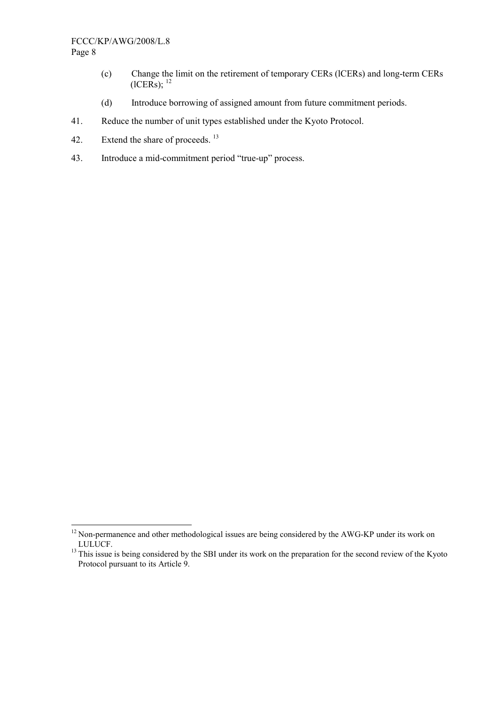#### FCCC/KP/AWG/2008/L.8 Page 8

- (c) Change the limit on the retirement of temporary CERs (lCERs) and long-term CERs  $(ICERS):$ <sup>12</sup>
- (d) Introduce borrowing of assigned amount from future commitment periods.
- 41. Reduce the number of unit types established under the Kyoto Protocol.
- 42. Extend the share of proceeds.<sup>13</sup>
- 43. Introduce a mid-commitment period "true-up" process.

 $12$  Non-permanence and other methodological issues are being considered by the AWG-KP under its work on LULUCF. 13 This issue is being considered by the SBI under its work on the preparation for the second review of the Kyoto

Protocol pursuant to its Article 9.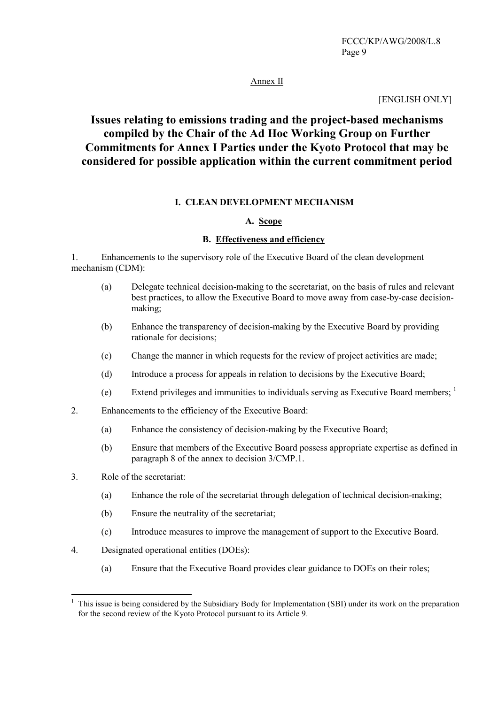## Annex II

#### [ENGLISH ONLY]

# **Issues relating to emissions trading and the project-based mechanisms compiled by the Chair of the Ad Hoc Working Group on Further Commitments for Annex I Parties under the Kyoto Protocol that may be considered for possible application within the current commitment period**

#### **I. CLEAN DEVELOPMENT MECHANISM**

#### **A. Scope**

#### **B. Effectiveness and efficiency**

1. Enhancements to the supervisory role of the Executive Board of the clean development mechanism (CDM):

- (a) Delegate technical decision-making to the secretariat, on the basis of rules and relevant best practices, to allow the Executive Board to move away from case-by-case decisionmaking;
- (b) Enhance the transparency of decision-making by the Executive Board by providing rationale for decisions;
- (c) Change the manner in which requests for the review of project activities are made;
- (d) Introduce a process for appeals in relation to decisions by the Executive Board;
- (e) Extend privileges and immunities to individuals serving as Executive Board members;  $\frac{1}{1}$
- 2. Enhancements to the efficiency of the Executive Board:
	- (a) Enhance the consistency of decision-making by the Executive Board;
	- (b) Ensure that members of the Executive Board possess appropriate expertise as defined in paragraph 8 of the annex to decision 3/CMP.1.
- 3. Role of the secretariat:

- (a) Enhance the role of the secretariat through delegation of technical decision-making;
- (b) Ensure the neutrality of the secretariat;
- (c) Introduce measures to improve the management of support to the Executive Board.
- 4. Designated operational entities (DOEs):
	- (a) Ensure that the Executive Board provides clear guidance to DOEs on their roles;

<sup>1</sup> This issue is being considered by the Subsidiary Body for Implementation (SBI) under its work on the preparation for the second review of the Kyoto Protocol pursuant to its Article 9.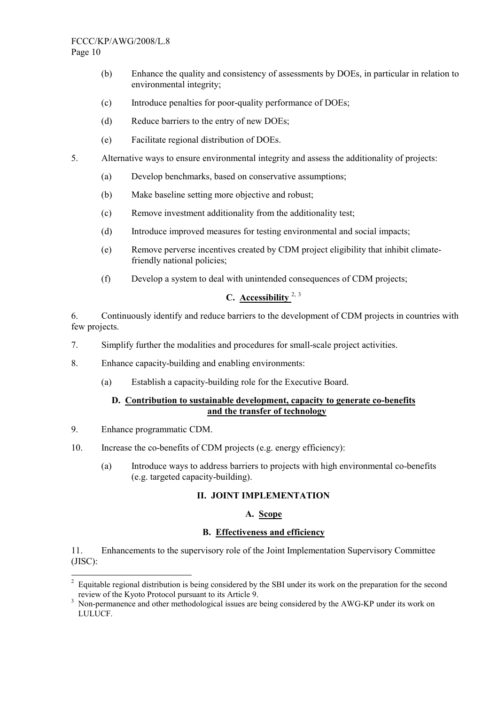#### FCCC/KP/AWG/2008/L.8 Page 10

- (b) Enhance the quality and consistency of assessments by DOEs, in particular in relation to environmental integrity;
- (c) Introduce penalties for poor-quality performance of DOEs;
- (d) Reduce barriers to the entry of new DOEs;
- (e) Facilitate regional distribution of DOEs.
- 5. Alternative ways to ensure environmental integrity and assess the additionality of projects:
	- (a) Develop benchmarks, based on conservative assumptions;
	- (b) Make baseline setting more objective and robust;
	- (c) Remove investment additionality from the additionality test;
	- (d) Introduce improved measures for testing environmental and social impacts;
	- (e) Remove perverse incentives created by CDM project eligibility that inhibit climatefriendly national policies;
	- (f) Develop a system to deal with unintended consequences of CDM projects;

# **C. Accessibility** 2, <sup>3</sup>

6. Continuously identify and reduce barriers to the development of CDM projects in countries with few projects.

- 7. Simplify further the modalities and procedures for small-scale project activities.
- 8. Enhance capacity-building and enabling environments:
	- (a) Establish a capacity-building role for the Executive Board.

## **D. Contribution to sustainable development, capacity to generate co-benefits and the transfer of technology**

9. Enhance programmatic CDM.

 $\overline{a}$ 

- 10. Increase the co-benefits of CDM projects (e.g. energy efficiency):
	- (a) Introduce ways to address barriers to projects with high environmental co-benefits (e.g. targeted capacity-building).

## **II. JOINT IMPLEMENTATION**

## **A. Scope**

## **B. Effectiveness and efficiency**

11. Enhancements to the supervisory role of the Joint Implementation Supervisory Committee (JISC):

<sup>2</sup> Equitable regional distribution is being considered by the SBI under its work on the preparation for the second review of the Kyoto Protocol pursuant to its Article 9.<br><sup>3</sup> Non-nermanance and other methodological issues are

Non-permanence and other methodological issues are being considered by the AWG-KP under its work on LULUCF.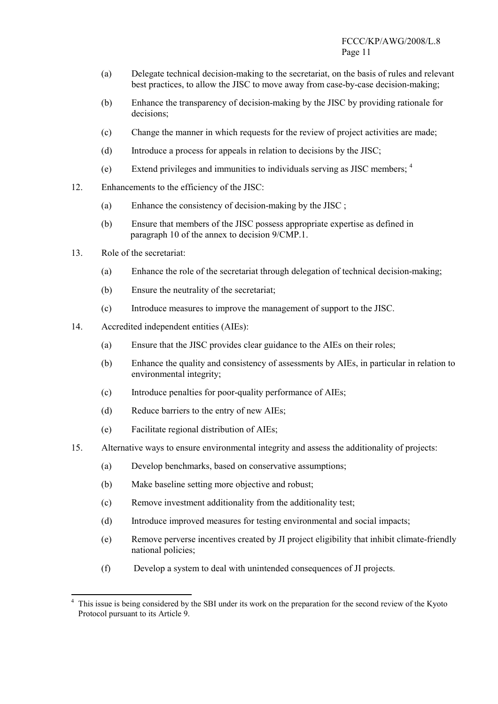- (a) Delegate technical decision-making to the secretariat, on the basis of rules and relevant best practices, to allow the JISC to move away from case-by-case decision-making;
- (b) Enhance the transparency of decision-making by the JISC by providing rationale for decisions;
- (c) Change the manner in which requests for the review of project activities are made;
- (d) Introduce a process for appeals in relation to decisions by the JISC;
- (e) Extend privileges and immunities to individuals serving as JISC members; <sup>4</sup>
- 12. Enhancements to the efficiency of the JISC:
	- (a) Enhance the consistency of decision-making by the JISC ;
	- (b) Ensure that members of the JISC possess appropriate expertise as defined in paragraph 10 of the annex to decision 9/CMP 1
- 13. Role of the secretariat:

- (a) Enhance the role of the secretariat through delegation of technical decision-making;
- (b) Ensure the neutrality of the secretariat;
- (c) Introduce measures to improve the management of support to the JISC.
- 14. Accredited independent entities (AIEs):
	- (a) Ensure that the JISC provides clear guidance to the AIEs on their roles;
	- (b) Enhance the quality and consistency of assessments by AIEs, in particular in relation to environmental integrity;
	- (c) Introduce penalties for poor-quality performance of AIEs;
	- (d) Reduce barriers to the entry of new AIEs;
	- (e) Facilitate regional distribution of AIEs;
- 15. Alternative ways to ensure environmental integrity and assess the additionality of projects:
	- (a) Develop benchmarks, based on conservative assumptions;
	- (b) Make baseline setting more objective and robust;
	- (c) Remove investment additionality from the additionality test;
	- (d) Introduce improved measures for testing environmental and social impacts;
	- (e) Remove perverse incentives created by JI project eligibility that inhibit climate-friendly national policies;
	- (f) Develop a system to deal with unintended consequences of JI projects.

<sup>4</sup> This issue is being considered by the SBI under its work on the preparation for the second review of the Kyoto Protocol pursuant to its Article 9.